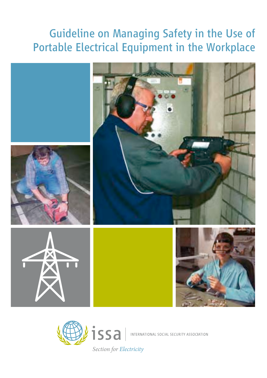## Guideline on Managing Safety in the Use of Portable Electrical Equipment in the Workplace





INTERNATIONAL SOCIAL SECURITY ASSOCIATION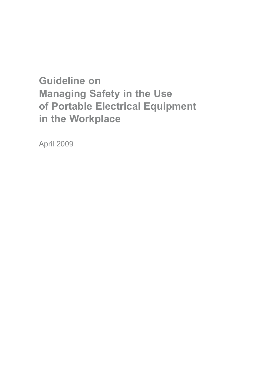## **Guideline on Managing Safety in the Use of Portable Electrical Equipment in the Workplace**

April 2009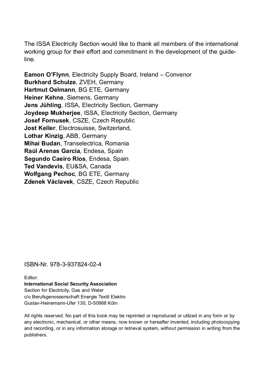The ISSA Electricity Section would like to thank all members of the international **Contents** working group for their effort and commitment in the development of the guide line.

**Eamon O'Flynn**, Electricity Supply Board, Ireland – Convenor **Burkhard Schulze**, ZVEH, Germany **Hartmut Oelmann**, BG ETE, Germany **Heiner Kehne**, Siemens, Germany **Jens Jühling**, ISSA, Electricity Section, Germany **Joydeep Mukherjee**, ISSA, Electricity Section, Germany **Josef Fornusek**, CSZE, Czech Republic **Jost Keller**, Electrosuisse, Switzerland, **Lothar Kinzig**, ABB, Germany **Mihai Budan**, Transelectrica, Romania **Raúl Arenas García**, Endesa, Spain **Segundo Caeiro Ríos**, Endesa, Spain **Ted Vandevis**, EU&SA, Canada **Wolfgang Pechoc**, BG ETE, Germany **Zdenek Václavek**, CSZE, Czech Republic

#### ISBN-Nr. 978-3-937824-02-4

Editor: **International Social Security Association** Section for Electricity, Gas and Water c/o Berufsgenossenschaft Energie Textil Elektro Gustav-Heinemann-Ufer 130, D-50968 Köln

All rights reserved. No part of this book may be reprinted or reproduced or utilzed in any form or by any electronic, mechanical, or other means, now known or hereafter invented, including photocopying and recording, or in any information storage or retrieval system, without permission in writing from the publishers.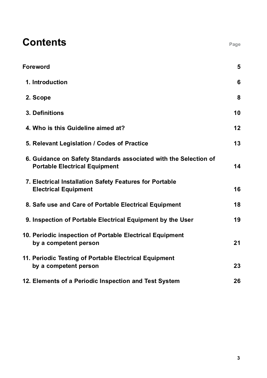### **Contents**

| Foreword                                                                                                 | 5       |
|----------------------------------------------------------------------------------------------------------|---------|
| 1. Introduction                                                                                          | 6       |
| 2. Scope                                                                                                 | 8       |
| 3. Definitions                                                                                           | 10      |
| 4. Who is this Guideline aimed at?                                                                       | $12 \,$ |
| 5. Relevant Legislation / Codes of Practice                                                              | 13      |
| 6. Guidance on Safety Standards associated with the Selection of<br><b>Portable Electrical Equipment</b> | 14      |
| 7. Electrical Installation Safety Features for Portable<br><b>Electrical Equipment</b>                   | 16      |
| 8. Safe use and Care of Portable Electrical Equipment                                                    | 18      |
| 9. Inspection of Portable Electrical Equipment by the User                                               | 19      |
| 10. Periodic inspection of Portable Electrical Equipment<br>by a competent person                        | 21      |
| 11. Periodic Testing of Portable Electrical Equipment<br>by a competent person                           | 23      |
| 12. Elements of a Periodic Inspection and Test System                                                    | 26      |

**Page**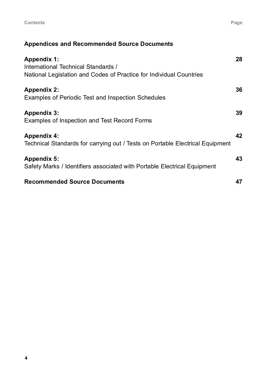**Contents Page**

#### **Appendices and Recommended Source Documents**

| <b>Appendix 1:</b><br>International Technical Standards /<br>National Legislation and Codes of Practice for Individual Countries | 28 |
|----------------------------------------------------------------------------------------------------------------------------------|----|
| <b>Appendix 2:</b><br>Examples of Periodic Test and Inspection Schedules                                                         | 36 |
| <b>Appendix 3:</b><br>Examples of Inspection and Test Record Forms                                                               | 39 |
| <b>Appendix 4:</b><br>Technical Standards for carrying out / Tests on Portable Electrical Equipment                              | 42 |
| <b>Appendix 5:</b><br>Safety Marks / Identifiers associated with Portable Electrical Equipment                                   | 43 |
| <b>Recommended Source Documents</b>                                                                                              | 47 |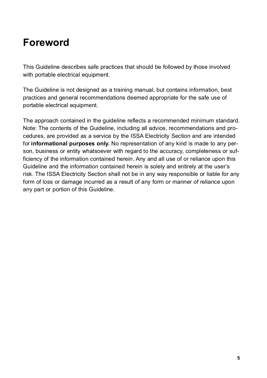### **Foreword**

This Guideline describes safe practices that should be followed by those involved with portable electrical equipment.

The Guideline is not designed as a training manual, but contains information, best practices and general recommendations deemed appropriate for the safe use of portable electrical equipment.<br>The approach contained in the guideline reflects a recommended minimum standard.

Note: The contents of the Guideline, including all advice, recommendations and pro cedures, are provided as a service by the ISSA Electricity Section and are intended for **informational purposes only.** No representation of any kind is made to any per son, business or entity whatsoever with regard to the accuracy, completeness or suf ficiency of the information contained herein. Any and all use of or reliance upon this Guideline and the information contained herein is solely and entirely at the user's risk. The ISSA Electricity Section shall not be in any way responsible or liable for any form of loss or damage incurred as a result of any form or manner of reliance upon any part or portion of this Guideline.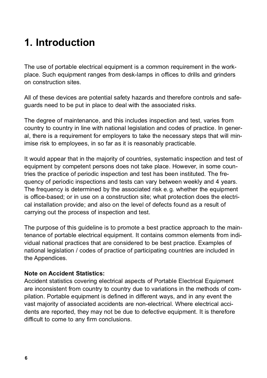## **1. Introduction**

The use of portable electrical equipment is a common requirement in the work place. Such equipment ranges from desk-lamps in offices to drills and grinders on construction sites.

All of these devices are potential safety hazards and therefore controls and safe guards need to be put in place to deal with the associated risks.

The degree of maintenance, and this includes inspection and test, varies from country to country in line with national legislation and codes of practice. In gener al, there is a requirement for employers to take the necessary steps that will min imise risk to employees, in so far as it is reasonably practicable.

It would appear that in the majority of countries, systematic inspection and test of equipment by competent persons does not take place. However, in some coun tries the practice of periodic inspection and test has been instituted. The fre quency of periodic inspections and tests can vary between weekly and 4 years. The frequency is determined by the associated risk e.g. whether the equipment is office-based; or in use on a construction site; what protection does the electri cal installation provide; and also on the level of defects found as a result of carrying out the process of inspection and test.

The purpose of this guideline is to promote a best practice approach to the main tenance of portable electrical equipment. It contains common elements from indi vidual national practices that are considered to be best practice. Examples of national legislation / codes of practice of participating countries are included in the Appendices.

#### **Note on Accident Statistics:**

Accident statistics covering electrical aspects of Portable Electrical Equipment are inconsistent from country to country due to variations in the methods of com pilation. Portable equipment is defined in different ways, and in any event the vast majority of associated accidents are non-electrical. Where electrical acci dents are reported, they may not be due to defective equipment. It is therefore difficult to come to any firm conclusions.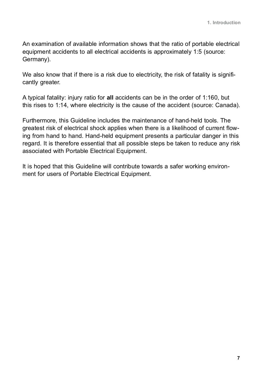An examination of available information shows that the ratio of portable electrical equipment accidents to all electrical accidents is approximately 1:5 (source: Germany).

We also know that if there is a risk due to electricity, the risk of fatality is significantly greater.<br>A typical fatality: injury ratio for **all** accidents can be in the order of 1:160, but

this rises to 1:14, where electricity is the cause of the accident (source: Canada).

Furthermore, this Guideline includes the maintenance of hand-held tools. The greatest risk of electrical shock applies when there is a likelihood of current flow ing from hand to hand. Hand-held equipment presents a particular danger in this regard. It is therefore essential that all possible steps be taken to reduce any risk associated with Portable Electrical Equipment.

It is hoped that this Guideline will contribute towards a safer working environ ment for users of Portable Electrical Equipment.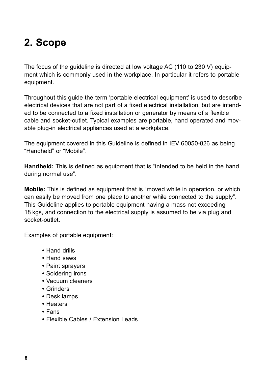## **2. Scope**

The focus of the guideline is directed at low voltage AC (110 to 230 V) equip ment which is commonly used in the workplace. In particular it refers to portable equipment.<br>Throughout this guide the term 'portable electrical equipment' is used to describe

electrical devices that are not part of a fixed electrical installation, but are intend ed to be connected to a fixed installation or generator by means of a flexible cable and socket-outlet. Typical examples are portable, hand operated and mov able plug-in electrical appliances used at a workplace.

The equipment covered in this Guideline is defined in IEV 60050-826 as being "Handheld" or "Mobile".

**Handheld:** This is defined as equipment that is "intended to be held in the hand during normal use".

**Mobile:** This is defined as equipment that is "moved while in operation, or which can easily be moved from one place to another while connected to the supply". This Guideline applies to portable equipment having a mass not exceeding 18 kgs, and connection to the electrical supply is assumed to be via plug and socket-outlet.

Examples of portable equipment:

- **•** Hand drills
- **•** Hand saws
- **•** Paint sprayers
- **•** Soldering irons
- **•** Vacuum cleaners
- **•** Grinders
- **•** Desk lamps
- **•** Heaters
- **•** Fans
- **•** Flexible Cables / Extension Leads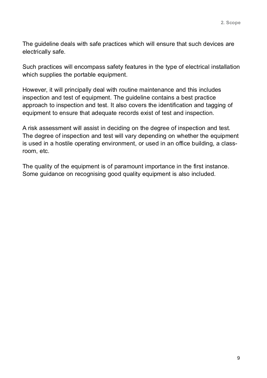The guideline deals with safe practices which will ensure that such devices are electrically safe.

Such practices will encompass safety features in the type of electrical installation which supplies the portable equipment.<br>However, it will principally deal with routine maintenance and this includes

inspection and test of equipment. The guideline contains a best practice approach to inspection and test. It also covers the identification and tagging of equipment to ensure that adequate records exist of test and inspection. A risk assessment will assist in deciding on the degree of inspection and test.

The degree of inspection and test will vary depending on whether the equipment is used in a hostile operating environment, or used in an office building, a class room, etc.

The quality of the equipment is of paramount importance in the first instance. Some guidance on recognising good quality equipment is also included.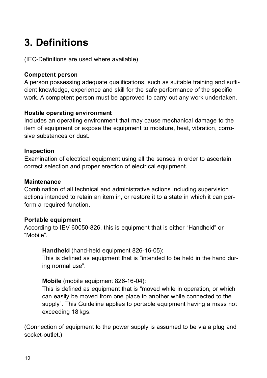## **3. Definitions**

(IEC-Definitions are used where available)

#### **Competent person**

A person possessing adequate qualifications, such as suitable training and suffi cient knowledge, experience and skill for the safe performance of the specific work. A competent person must be approved to carry out any work undertaken.

#### **Hostile operating environment**

Includes an operating environment that may cause mechanical damage to the item of equipment or expose the equipment to moisture, heat, vibration, corro sive substances or dust.

#### **Inspection**

Examination of electrical equipment using all the senses in order to ascertain correct selection and proper erection of electrical equipment.

#### **Maintenance**

Combination of all technical and administrative actions including supervision actions intended to retain an item in, or restore it to a state in which it can per form a required function.

#### **Portable equipment**

According to IEV 60050-826, this is equipment that is either "Handheld" or "Mobile".

**Handheld** (hand-held equipment 826-16-05):<br>This is defined as equipment that is "intended to be held in the hand during normal use".

**Mobile** (mobile equipment 826-16-04):<br>This is defined as equipment that is "moved while in operation, or which can easily be moved from one place to another while connected to the supply". This Guideline applies to portable equipment having a mass not exceeding 18 kgs.

(Connection of equipment to the power supply is assumed to be via a plug and socket-outlet.)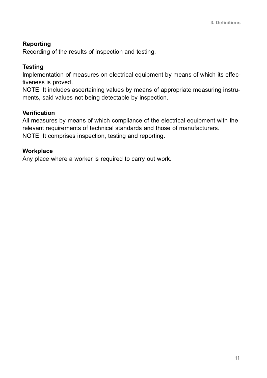#### **Reporting**

Recording of the results of inspection and testing.

#### **Testing**

Implementation of measures on electrical equipment by means of which its effec tiveness is proved.

NOTE: It includes ascertaining values by means of appropriate measuring instru ments, said values not being detectable by inspection.

#### **Verification**

All measures by means of which compliance of the electrical equipment with the relevant requirements of technical standards and those of manufacturers. NOTE: It comprises inspection, testing and reporting.

#### **Workplace**

Any place where a worker is required to carry out work.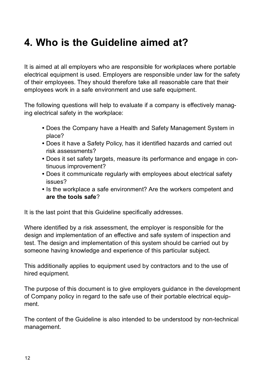### **4. Who is the Guideline aimed at?**

It is aimed at all employers who are responsible for workplaces where portable electrical equipment is used. Employers are responsible under law for the safety of their employees. They should therefore take all reasonable care that their employees work in a safe environment and use safe equipment.<br>The following questions will help to evaluate if a company is effectively manag-

ing electrical safety in the workplace:

- **•** Does the Company have a Health and Safety Management System in place?
- **•** Does it have a Safety Policy, has it identified hazards and carried out risk assessments?
- **•** Does it set safety targets, measure its performance and engage in con tinuous improvement?
- **•** Does it communicate regularly with employees about electrical safety issues?
- **•** Is the workplace a safe environment? Are the workers competent and **are the tools safe**?

It is the last point that this Guideline specifically addresses.

Where identified by a risk assessment, the employer is responsible for the design and implementation of an effective and safe system of inspection and test. The design and implementation of this system should be carried out by someone having knowledge and experience of this particular subject.

This additionally applies to equipment used by contractors and to the use of hired equipment.

The purpose of this document is to give employers guidance in the development of Company policy in regard to the safe use of their portable electrical equip ment.

The content of the Guideline is also intended to be understood by non-technical management.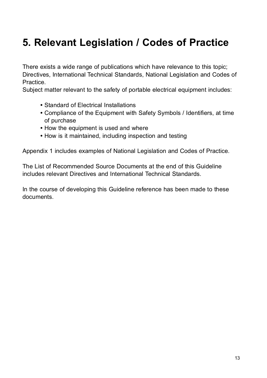## **5. Relevant Legislation / Codes of Practice**

There exists a wide range of publications which have relevance to this topic; Directives, International Technical Standards, National Legislation and Codes of Practice.

Subject matter relevant to the safety of portable electrical equipment includes:

- **•** Standard of Electrical Installations
- **•** Compliance of the Equipment with Safety Symbols / Identifiers, at time of purchase
- **•** How the equipment is used and where
- **•** How is it maintained, including inspection and testing

Appendix 1 includes examples of National Legislation and Codes of Practice.

The List of Recommended Source Documents at the end of this Guideline includes relevant Directives and International Technical Standards.

In the course of developing this Guideline reference has been made to these documents.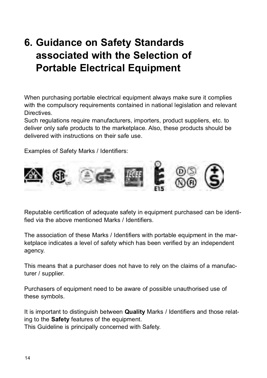# **6. Guidance on Safety Standards 6. associated with the Selection of 6. Portable Electrical Equipment**

When purchasing portable electrical equipment always make sure it complies with the compulsory requirements contained in national legislation and relevant Directives.<br>Such regulations require manufacturers, importers, product suppliers, etc. to

deliver only safe products to the marketplace. Also, these products should be delivered with instructions on their safe use.

Examples of Safety Marks / Identifiers:



Reputable certification of adequate safety in equipment purchased can be identi fied via the above mentioned Marks / Identifiers.

The association of these Marks / Identifiers with portable equipment in the mar ketplace indicates a level of safety which has been verified by an independent agency.

This means that a purchaser does not have to rely on the claims of a manufac turer / supplier.

Purchasers of equipment need to be aware of possible unauthorised use of these symbols.

It is important to distinguish between **Quality** Marks / Identifiers and those relat ing to the **Safety** features of the equipment.

This Guideline is principally concerned with Safety.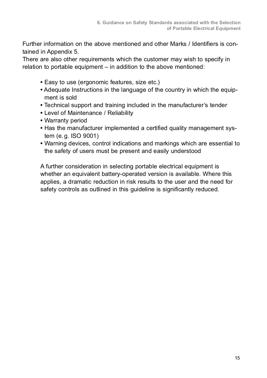Further information on the above mentioned and other Marks / Identifiers is con tained in Appendix 5.

There are also other requirements which the customer may wish to specify in relation to portable equipment – in addition to the above mentioned:

- **•** Easy to use (ergonomic features, size etc.)
- **•** Adequate Instructions in the language of the country in which the equip ment is sold
- **•** Technical support and training included in the manufacturer's tender
- **•** Level of Maintenance / Reliability
- **•** Warranty period
- **•** Has the manufacturer implemented a certified quality management sys tem (e.g. ISO 9001)
- **•** Warning devices, control indications and markings which are essential to the safety of users must be present and easily understood

A further consideration in selecting portable electrical equipment is whether an equivalent battery-operated version is available. Where this applies, a dramatic reduction in risk results to the user and the need for safety controls as outlined in this guideline is significantly reduced.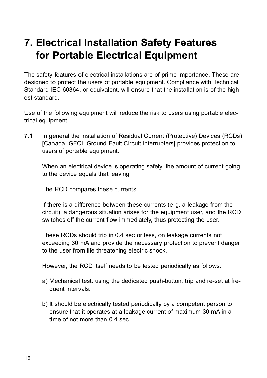## **7. Electrical Installation Safety Features 7. for Portable Electrical Equipment**

The safety features of electrical installations are of prime importance. These are designed to protect the users of portable equipment. Compliance with Technical Standard IEC 60364, or equivalent, will ensure that the installation is of the high est standard.

Use of the following equipment will reduce the risk to users using portable elec trical equipment:

**7.1** In general the installation of Residual Current (Protective) Devices (RCDs) [Canada: GFCI: Ground Fault Circuit Interrupters] provides protection to users of portable equipment.<br>When an electrical device is operating safely, the amount of current going

to the device equals that leaving.

The RCD compares these currents.

If there is a difference between these currents (e.g. a leakage from the circuit), a dangerous situation arises for the equipment user, and the RCD switches off the current flow immediately, thus protecting the user.

These RCDs should trip in 0.4 sec or less, on leakage currents not exceeding 30 mA and provide the necessary protection to prevent danger to the user from life threatening electric shock. However, the RCD itself needs to be tested periodically as follows:

- a) Mechanical test: using the dedicated push-button, trip and re-set at fre quent intervals.
- b) It should be electrically tested periodically by a competent person to ensure that it operates at a leakage current of maximum 30 mA in a time of not more than 0.4 sec.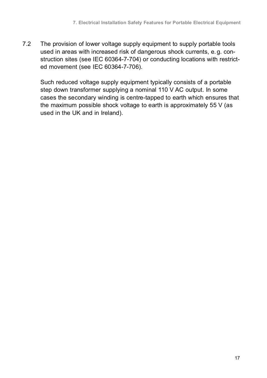7.2 The provision of lower voltage supply equipment to supply portable tools used in areas with increased risk of dangerous shock currents, e.g. con struction sites (see IEC 60364-7-704) or conducting locations with restrict ed movement (see IEC 60364-7-706). Such reduced voltage supply equipment typically consists of a portable

step down transformer supplying a nominal 110 V AC output. In some cases the secondary winding is centre-tapped to earth which ensures that the maximum possible shock voltage to earth is approximately 55 V (as used in the UK and in Ireland).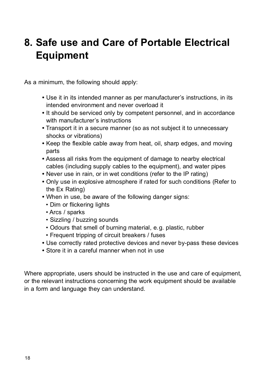## **8. Safe use and Care of Portable Electrical 8. Equipment**

As a minimum, the following should apply:

- **•** Use it in its intended manner as per manufacturer's instructions, in its intended environment and never overload it
- **•** It should be serviced only by competent personnel, and in accordance with manufacturer's instructions
- **•** Transport it in a secure manner (so as not subject it to unnecessary shocks or vibrations)
- **•** Keep the flexible cable away from heat, oil, sharp edges, and moving parts
- **•** Assess all risks from the equipment of damage to nearby electrical cables (including supply cables to the equipment), and water pipes
- **•** Never use in rain, or in wet conditions (refer to the IP rating)
- **•** Only use in explosive atmosphere if rated for such conditions (Refer to the Ex Rating)
- **•** When in use, be aware of the following danger signs:
	- Dim or flickering lights
	- Arcs / sparks
	- Sizzling / buzzing sounds
	- Odours that smell of burning material, e.g. plastic, rubber
	- Frequent tripping of circuit breakers / fuses
- **•** Use correctly rated protective devices and never by-pass these devices
- **•** Store it in a careful manner when not in use

Where appropriate, users should be instructed in the use and care of equipment, or the relevant instructions concerning the work equipment should be available in a form and language they can understand.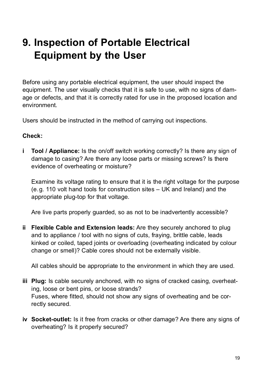## **9. Inspection of Portable Electrical 9. Equipment by the User**

Before using any portable electrical equipment, the user should inspect the equipment. The user visually checks that it is safe to use, with no signs of dam age or defects, and that it is correctly rated for use in the proposed location and environment.

Users should be instructed in the method of carrying out inspections.

#### **Check:**

**i Tool / Appliance:** Is the on/off switch working correctly? Is there any sign of damage to casing? Are there any loose parts or missing screws? Is there evidence of overheating or moisture?<br>Examine its voltage rating to ensure that it is the right voltage for the purpose

(e.g. 110 volt hand tools for construction sites – UK and Ireland) and the appropriate plug-top for that voltage.

Are live parts properly quarded, so as not to be inadvertently accessible?

**ii Flexible Cable and Extension leads:** Are they securely anchored to plug and to appliance / tool with no signs of cuts, fraying, brittle cable, leads kinked or coiled, taped joints or overloading (overheating indicated by colour change or smell)? Cable cores should not be externally visible.

All cables should be appropriate to the environment in which they are used.

- **iii Plug:** Is cable securely anchored, with no signs of cracked casing, overheat ing, loose or bent pins, or loose strands? Fuses, where fitted, should not show any signs of overheating and be cor rectly secured.
- **iv Socket-outlet:** Is it free from cracks or other damage? Are there any signs of overheating? Is it properly secured?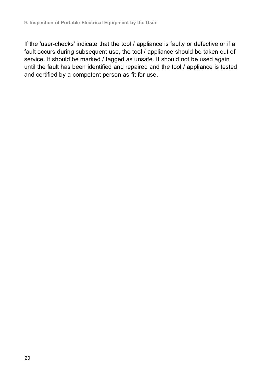If the 'user-checks' indicate that the tool / appliance is faulty or defective or if a fault occurs during subsequent use, the tool / appliance should be taken out of service. It should be marked / tagged as unsafe. It should not be used again until the fault has been identified and repaired and the tool / appliance is tested and certified by a competent person as fit for use.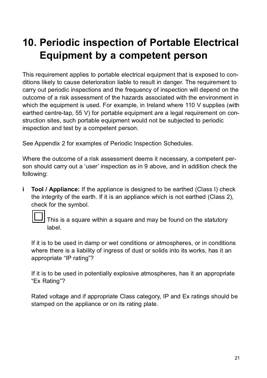## **10. Periodic inspection of Portable Electrical 10. Equipment by a competent person**

This requirement applies to portable electrical equipment that is exposed to con ditions likely to cause deterioration liable to result in danger. The requirement to carry out periodic inspections and the frequency of inspection will depend on the outcome of a risk assessment of the hazards associated with the environment in which the equipment is used. For example, in Ireland where 110 V supplies (with earthed centre-tap, 55 V) for portable equipment are a legal requirement on construction sites, such portable equipment would not be subjected to periodic inspection and test by a competent person.

See Appendix 2 for examples of Periodic Inspection Schedules.

Where the outcome of a risk assessment deems it necessary, a competent per son should carry out a 'user' inspection as in 9 above, and in addition check the following:

**i Tool / Appliance:** If the appliance is designed to be earthed (Class I) check the integrity of the earth. If it is an appliance which is not earthed (Class 2), check for the symbol.<br> $\boxed{\boxed{\phantom{a}}\phantom{\phantom{\big|}}\phantom{\overline{\mathbf{}}}}$  This is a square within a square and may be found on the statutory



label.

If it is to be used in damp or wet conditions or atmospheres, or in conditions where there is a liability of ingress of dust or solids into its works, has it an appropriate "IP rating"?<br>If it is to be used in potentially explosive atmospheres, has it an appropriate

"Ex Rating"?

Rated voltage and if appropriate Class category, IP and Ex ratings should be stamped on the appliance or on its rating plate.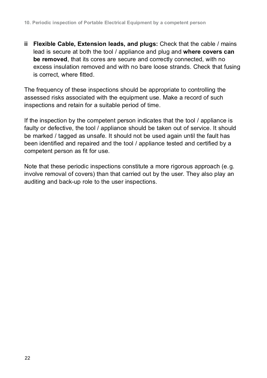**ii Flexible Cable, Extension leads, and plugs:** Check that the cable / mains lead is secure at both the tool / appliance and plug and **where covers can be removed**, that its cores are secure and correctly connected, with no excess insulation removed and with no bare loose strands. Check that fusing is correct, where fitted.

The frequency of these inspections should be appropriate to controlling the assessed risks associated with the equipment use. Make a record of such inspections and retain for a suitable period of time.

If the inspection by the competent person indicates that the tool / appliance is faulty or defective, the tool / appliance should be taken out of service. It should be marked / tagged as unsafe. It should not be used again until the fault has been identified and repaired and the tool / appliance tested and certified by a competent person as fit for use.

Note that these periodic inspections constitute a more rigorous approach (e.g. involve removal of covers) than that carried out by the user. They also play an auditing and back-up role to the user inspections.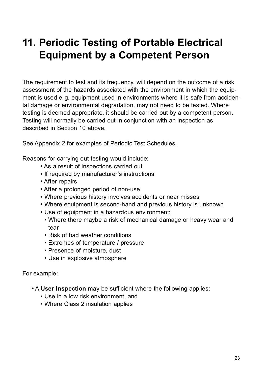## **11. Periodic Testing of Portable Electrical 11. Equipment by a Competent Person**

The requirement to test and its frequency, will depend on the outcome of a risk assessment of the hazards associated with the environment in which the equip ment is used e.g. equipment used in environments where it is safe from acciden tal damage or environmental degradation, may not need to be tested. Where testing is deemed appropriate, it should be carried out by a competent person. Testing will normally be carried out in conjunction with an inspection as described in Section 10 above.

See Appendix 2 for examples of Periodic Test Schedules.

Reasons for carrying out testing would include:

- **•** As a result of inspections carried out
- **•** If required by manufacturer's instructions
- **•** After repairs
- **•** After a prolonged period of non-use
- **•** Where previous history involves accidents or near misses
- **•** Where equipment is second-hand and previous history is unknown
- **•** Use of equipment in a hazardous environment:
	- • Where there maybe a risk of mechanical damage or heavy wear and tear
	- Risk of had weather conditions
	- Extremes of temperature / pressure
	- Presence of moisture, dust
	- Use in explosive atmosphere

For example:

- **•** A **User Inspection** may be sufficient where the following applies:
	- Use in a low risk environment, and<br>• Where Class 2 insulation applies
	-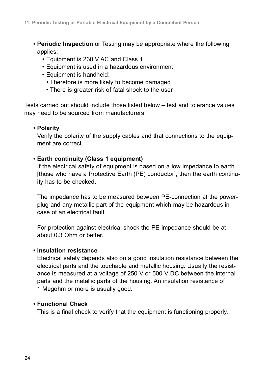- **Periodic Inspection** or Testing may be appropriate where the following applies:
	-
	- Equipment is 230 V AC and Class 1 Equipment is used in a hazardous environment
	- Equipment is handheld:
		- Therefore is more likely to become damaged
		- There is greater risk of fatal shock to the user

Tests carried out should include those listed below – test and tolerance values may need to be sourced from manufacturers:

#### **• Polarity**

Verify the polarity of the supply cables and that connections to the equip ment are correct.

#### **• Earth continuity (Class 1 equipment)**

If the electrical safety of equipment is based on a low impedance to earth [those who have a Protective Earth (PE) conductor], then the earth continu ity has to be checked.

The impedance has to be measured between PE-connection at the power plug and any metallic part of the equipment which may be hazardous in case of an electrical fault.<br>For protection against electrical shock the PE-impedance should be at

about 0.3 Ohm or better.

#### **• Insulation resistance**

Electrical safety depends also on a good insulation resistance between the electrical parts and the touchable and metallic housing. Usually the resist ance is measured at a voltage of 250 V or 500 V DC between the internal parts and the metallic parts of the housing. An insulation resistance of 1 Megohm or more is usually good.

#### **• Functional Check**

This is a final check to verify that the equipment is functioning properly.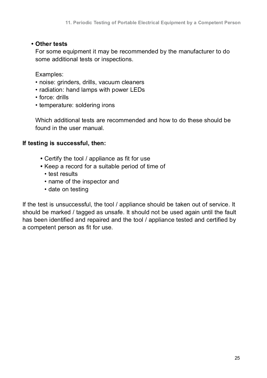#### **• Other tests**

For some equipment it may be recommended by the manufacturer to do some additional tests or inspections. Examples:

- noise: grinders, drills, vacuum cleaners
- radiation: hand lamps with power LEDs
- force: drills
- temperature: soldering irons

Which additional tests are recommended and how to do these should be found in the user manual.

#### **If testing is successful, then:**

- **•** Certify the tool / appliance as fit for use
- **•** Keep a record for a suitable period of time of • test results
	-
	-
	-

• name of the inspector and<br>• date on testing<br>If the test is unsuccessful, the tool / appliance should be taken out of service. It should be marked / tagged as unsafe. It should not be used again until the fault has been identified and repaired and the tool / appliance tested and certified by a competent person as fit for use.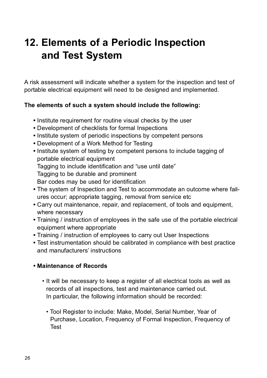## **12. Elements of a Periodic Inspection 12. and Test System**

A risk assessment will indicate whether a system for the inspection and test of portable electrical equipment will need to be designed and implemented.

#### **The elements of such a system should include the following:**

- **•** Institute requirement for routine visual checks by the user
- **•** Development of checklists for formal Inspections
- **•** Institute system of periodic inspections by competent persons
- **•** Development of a Work Method for Testing
- **•** Institute system of testing by competent persons to include tagging of portable electrical equipment Tagging to include identification and "use until date" Tagging to be durable and prominent Bar codes may be used for identification
- **•** The system of Inspection and Test to accommodate an outcome where fail ures occur; appropriate tagging, removal from service etc
- **•** Carry out maintenance, repair, and replacement, of tools and equipment, where necessary
- **•** Training / instruction of employees in the safe use of the portable electrical equipment where appropriate
- **•** Training / instruction of employees to carry out User Inspections
- **•** Test instrumentation should be calibrated in compliance with best practice and manufacturers' instructions

#### **• Maintenance of Records**

- It will be necessary to keep a register of all electrical tools as well as records of all inspections, test and maintenance carried out. In particular, the following information should be recorded:
	- • Tool Register to include: Make, Model, Serial Number, Year of Purchase, Location, Frequency of Formal Inspection, Frequency of Test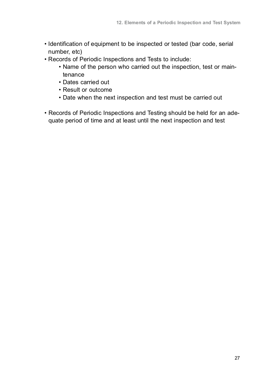- • Identification of equipment to be inspected or tested (bar code, serial number, etc)
- • Records of Periodic Inspections and Tests to include:
	- Name of the person who carried out the inspection, test or maintenance
	- – Dates carried out
	-
	- Result or outcome<br>• Date when the next inspection and test must be carried out
- • Records of Periodic Inspections and Testing should be held for an ade quate period of time and at least until the next inspection and test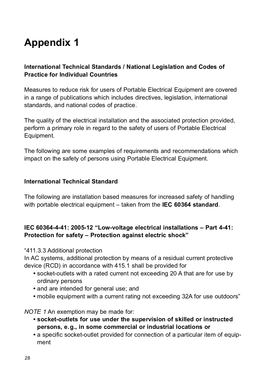## **Appendix 1**

#### **International Technical Standards / National Legislation and Codes of Practice for Individual Countries**

Measures to reduce risk for users of Portable Electrical Equipment are covered in a range of publications which includes directives, legislation, international standards, and national codes of practice.<br>The quality of the electrical installation and the associated protection provided.

perform a primary role in regard to the safety of users of Portable Electrical Equipment.

The following are some examples of requirements and recommendations which impact on the safety of persons using Portable Electrical Equipment.

#### **International Technical Standard**

The following are installation based measures for increased safety of handling with portable electrical equipment – taken from the **IEC 60364 standard**.

#### **IEC 60364-4-41: 2005-12 "Low-voltage electrical installations – Part 4-41: Protection for safety – Protection against electric shock"**

"411.3.3 Additional protection

In AC systems, additional protection by means of a residual current protective device (RCD) in accordance with 415.1 shall be provided for

- **•** socket-outlets with a rated current not exceeding 20 A that are for use by ordinary persons
- **•** and are intended for general use; and
- **•** mobile equipment with a current rating not exceeding 32A for use outdoors"

*NOTE 1* An exemption may be made for:

- **socket-outlets for use under the supervision of skilled or instructed persons, e.g., in some commercial or industrial locations or**
- **•** a specific socket-outlet provided for connection of a particular item of equip ment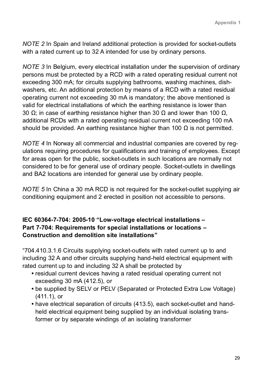*NOTE 2* In Spain and Ireland additional protection is provided for socket-outlets with a rated current up to 32 A intended for use by ordinary persons.

*NOTE 3* In Belgium, every electrical installation under the supervision of ordinary persons must be protected by a RCD with a rated operating residual current not exceeding 300 mA; for circuits supplying bathrooms, washing machines, dish washers, etc. An additional protection by means of a RCD with a rated residual operating current not exceeding 30 mA is mandatory; the above mentioned is valid for electrical installations of which the earthing resistance is lower than 30 Ω; in case of earthing resistance higher than 30 Ω and lower than 100 Ω. additional RCDs with a rated operating residual current not exceeding 100 mA should be provided. An earthing resistance higher than 100  $\Omega$  is not permitted.

*NOTE 4* In Norway all commercial and industrial companies are covered by reg ulations requiring procedures for qualifications and training of employees. Except for areas open for the public, socket-outlets in such locations are normally not considered to be for general use of ordinary people. Socket-outlets in dwellings and BA2 locations are intended for general use by ordinary people.

*NOTE 5* In China a 30 mA RCD is not required for the socket-outlet supplying air conditioning equipment and 2 erected in position not accessible to persons.

#### **IEC 60364-7-704: 2005-10 "Low-voltage electrical installations – Part 7-704: Requirements for special installations or locations – Construction and demolition site installations"**

"704.410.3.1.6 Circuits supplying socket-outlets with rated current up to and including 32 A and other circuits supplying hand-held electrical equipment with rated current up to and including 32 A shall be protected by

- **•** residual current devices having a rated residual operating current not exceeding 30 mA (412.5), or
- **•** be supplied by SELV or PELV (Separated or Protected Extra Low Voltage) (411.1), or
- **•** have electrical separation of circuits (413.5), each socket-outlet and hand held electrical equipment being supplied by an individual isolating trans former or by separate windings of an isolating transformer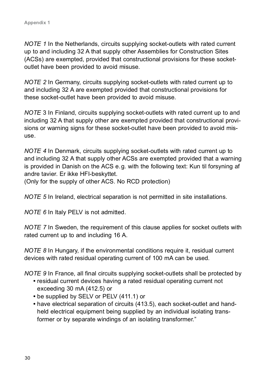*NOTE 1* In the Netherlands, circuits supplying socket-outlets with rated current up to and including 32 A that supply other Assemblies for Construction Sites (ACSs) are exempted, provided that constructional provisions for these socket outlet have been provided to avoid misuse.

*NOTE 2* In Germany, circuits supplying socket-outlets with rated current up to and including 32 A are exempted provided that constructional provisions for these socket-outlet have been provided to avoid misuse.

*NOTE* 3 In Finland, circuits supplying socket-outlets with rated current up to and including 32 A that supply other are exempted provided that constructional provi sions or warning signs for these socket-outlet have been provided to avoid misuse.

*NOTE 4* In Denmark, circuits supplying socket-outlets with rated current up to and including 32 A that supply other ACSs are exempted provided that a warning is provided in Danish on the ACS e.g. with the following text: Kun til forsyning af andre tavier. Er ikke HFI-beskyttet. (Only for the supply of other ACS. No RCD protection)

*NOTE 5* In Ireland, electrical separation is not permitted in site installations.

*NOTE 6* In Italy PELV is not admitted.

*NOTE 7* In Sweden, the requirement of this clause applies for socket outlets with rated current up to and including 16 A.

*NOTE 8* In Hungary, if the environmental conditions require it, residual current devices with rated residual operating current of 100 mA can be used.

*NOTE 9* In France, all final circuits supplying socket-outlets shall be protected by

- **•** residual current devices having a rated residual operating current not exceeding 30 mA (412.5) or
- **•** be supplied by SELV or PELV (411.1) or
- **•** have electrical separation of circuits (413.5), each socket-outlet and hand held electrical equipment being supplied by an individual isolating trans former or by separate windings of an isolating transformer."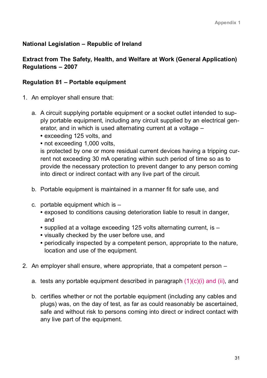## National Legislation – Republic of Ireland<br>Extract from The Safety, Health, and Welfare at Work (General Application) **Regulations – 2007**

#### **Regulation 81 – Portable equipment**

- 1. An employer shall ensure that:
	- a. A circuit supplying portable equipment or a socket outlet intended to sup ply portable equipment, including any circuit supplied by an electrical gen erator, and in which is used alternating current at a voltage –
		- **•** exceeding 125 volts, and
		- **•** not exceeding 1,000 volts,

is protected by one or more residual current devices having a tripping cur rent not exceeding 30 mA operating within such period of time so as to provide the necessary protection to prevent danger to any person coming into direct or indirect contact with any live part of the circuit.

- b. Portable equipment is maintained in a manner fit for safe use, and
- c. portable equipment which is
	- **•** exposed to conditions causing deterioration liable to result in danger, and
	- **•** supplied at a voltage exceeding 125 volts alternating current, is –
	- **•** visually checked by the user before use, and
	- **•** periodically inspected by a competent person, appropriate to the nature, location and use of the equipment.
- 2. An employer shall ensure, where appropriate, that a competent person
	- a. tests any portable equipment described in paragraph  $(1)(c)(i)$  and (ii), and
	- b. certifies whether or not the portable equipment (including any cables and plugs) was, on the day of test, as far as could reasonably be ascertained, safe and without risk to persons coming into direct or indirect contact with any live part of the equipment.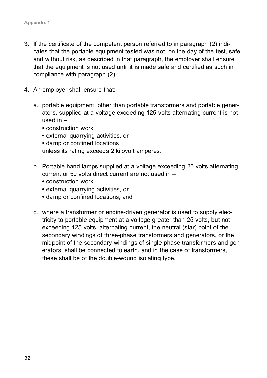- 3. If the certificate of the competent person referred to in paragraph (2) indi cates that the portable equipment tested was not, on the day of the test, safe and without risk, as described in that paragraph, the employer shall ensure that the equipment is not used until it is made safe and certified as such in compliance with paragraph (2).
- 4. An employer shall ensure that:
	- a. portable equipment, other than portable transformers and portable gener ators, supplied at a voltage exceeding 125 volts alternating current is not used in –
		- **•** construction work
		- **•** external quarrying activities, or
		- **•** damp or confined locations

unless its rating exceeds 2 kilovolt amperes.

- b. Portable hand lamps supplied at a voltage exceeding 25 volts alternating current or 50 volts direct current are not used in –
	- **•** construction work
	- **•** external quarrying activities, or
	- **•** damp or confined locations, and
- c. where a transformer or engine-driven generator is used to supply elec tricity to portable equipment at a voltage greater than 25 volts, but not exceeding 125 volts, alternating current, the neutral (star) point of the secondary windings of three-phase transformers and generators, or the midpoint of the secondary windings of single-phase transformers and gen erators, shall be connected to earth, and in the case of transformers, these shall be of the double-wound isolating type.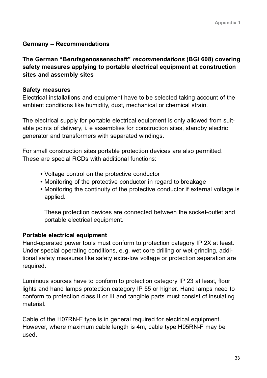#### **Germany – Recommendations**

**The German "Berufsgenossenschaft"** *recommendations* **(BGI 608) covering safety measures applying to portable electrical equipment at construction sites and assembly sites**

#### **Safety measures**

Electrical installations and equipment have to be selected taking account of the ambient conditions like humidity, dust, mechanical or chemical strain.

The electrical supply for portable electrical equipment is only allowed from suit able points of delivery, i. e assemblies for construction sites, standby electric generator and transformers with separated windings.<br>For small construction sites portable protection devices are also permitted.

These are special RCDs with additional functions:

- **•** Voltage control on the protective conductor
- **•** Monitoring of the protective conductor in regard to breakage
- **•** Monitoring the continuity of the protective conductor if external voltage is applied.

• These protection devices are connected between the socket-outlet and portable electrical equipment.

#### **Portable electrical equipment**

Hand-operated power tools must conform to protection category IP 2X at least.<br>Under special operating conditions, e.g. wet core drilling or wet grinding, additional safety measures like safety extra-low voltage or protection separation are required.

Luminous sources have to conform to protection category IP 23 at least, floor lights and hand lamps protection category IP 55 or higher. Hand lamps need to conform to protection class II or III and tangible parts must consist of insulating material.

Cable of the H07RN-F type is in general required for electrical equipment. However, where maximum cable length is 4m, cable type H05RN-F may be used.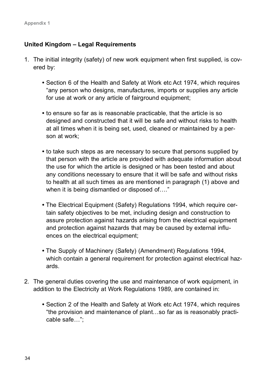#### **United Kingdom – Legal Requirements**

- 1. The initial integrity (safety) of new work equipment when first supplied, is cov ered by:
	- **•** Section 6 of the Health and Safety at Work etc Act 1974, which requires "any person who designs, manufactures, imports or supplies any article for use at work or any article of fairground equipment;
	- **•** to ensure so far as is reasonable practicable, that the article is so designed and constructed that it will be safe and without risks to health at all times when it is being set, used, cleaned or maintained by a per son at work;
	- **•** to take such steps as are necessary to secure that persons supplied by that person with the article are provided with adequate information about the use for which the article is designed or has been tested and about any conditions necessary to ensure that it will be safe and without risks to health at all such times as are mentioned in paragraph (1) above and when it is being dismantled or disposed of...."
	- **•** The Electrical Equipment (Safety) Regulations 1994, which require cer tain safety objectives to be met, including design and construction to assure protection against hazards arising from the electrical equipment and protection against hazards that may be caused by external influ ences on the electrical equipment;
	- **•** The Supply of Machinery (Safety) (Amendment) Regulations 1994, which contain a general requirement for protection against electrical hazards.
- 2. The general duties covering the use and maintenance of work equipment, in addition to the Electricity at Work Regulations 1989, are contained in:
	- **•** Section 2 of the Health and Safety at Work etc Act 1974, which requires "the provision and maintenance of plant…so far as is reasonably practi cable safe…";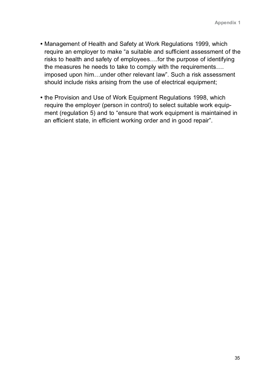- **•** Management of Health and Safety at Work Regulations 1999, which require an employer to make "a suitable and sufficient assessment of the risks to health and safety of employees….for the purpose of identifying the measures he needs to take to comply with the requirements…. imposed upon him…under other relevant law". Such a risk assessment should include risks arising from the use of electrical equipment;
- **•** the Provision and Use of Work Equipment Regulations 1998, which require the employer (person in control) to select suitable work equipment (regulation 5) and to "ensure that work equipment is maintained in an efficient state, in efficient working order and in good repair".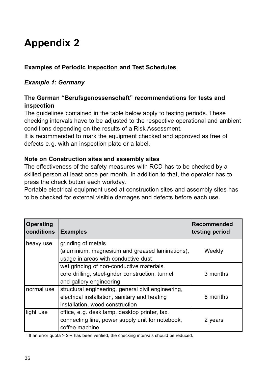## **Appendix 2**

#### **Examples of Periodic Inspection and Test Schedules**

#### *Example 1: Germany*

#### **The German "Berufsgenossenschaft" recommendations for tests and inspection**

The guidelines contained in the table below apply to testing periods. These checking intervals have to be adjusted to the respective operational and ambient conditions depending on the results of a Risk Assessment.

It is recommended to mark the equipment checked and approved as free of defects e.g. with an inspection plate or a label.

#### **Note on Construction sites and assembly sites**

The effectiveness of the safety measures with RCD has to be checked by a skilled person at least once per month. In addition to that, the operator has to press the check button each workday.

Portable electrical equipment used at construction sites and assembly sites has to be checked for external visible damages and defects before each use.

| <b>Operating</b><br>conditions | <b>Examples</b>                                                                                                                        | <b>Recommended</b><br>testing period <sup>1</sup> |
|--------------------------------|----------------------------------------------------------------------------------------------------------------------------------------|---------------------------------------------------|
| heavy use                      | grinding of metals<br>(aluminium, magnesium and greased laminations),<br>usage in areas with conductive dust                           | Weekly                                            |
|                                | wet grinding of non-conductive materials,<br>core drilling, steel-girder construction, tunnel<br>and gallery engineering               | 3 months                                          |
| normal use                     | structural engineering, general civil engineering,<br>electrical installation, sanitary and heating<br>installation, wood construction | 6 months                                          |
| light use                      | office, e.g. desk lamp, desktop printer, fax,<br>connecting line, power supply unit for notebook,<br>coffee machine                    | 2 years                                           |

<sup>1</sup> If an error quota > 2% has been verified, the checking intervals should be reduced.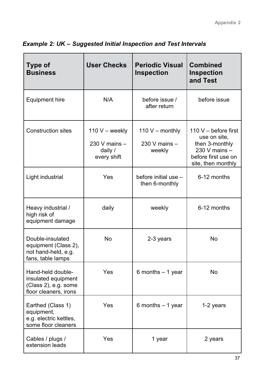| <b>Type of</b><br><b>Business</b>                                                                      | <b>User Checks</b>                                            | <b>Periodic Visual</b><br><b>Inspection</b>    | <b>Combined</b><br><b>Inspection</b><br>and Test                                                                     |
|--------------------------------------------------------------------------------------------------------|---------------------------------------------------------------|------------------------------------------------|----------------------------------------------------------------------------------------------------------------------|
| Equipment hire                                                                                         | N/A                                                           | before issue /<br>after return                 | before issue                                                                                                         |
| <b>Construction sites</b>                                                                              | $110 V - weekly$<br>230 V mains $-$<br>daily /<br>every shift | 110 $V -$ monthly<br>230 V mains $-$<br>weekly | 110 V – before first<br>use on site.<br>then 3-monthly<br>230 V mains -<br>before first use on<br>site, then monthly |
| Light industrial                                                                                       | Yes                                                           | before initial use -<br>then 6-monthly         | 6-12 months                                                                                                          |
| Heavy industrial /<br>high risk of<br>equipment damage                                                 | daily                                                         | weekly                                         | 6-12 months                                                                                                          |
| Double-insulated<br>N <sub>0</sub><br>equipment (Class 2),<br>not hand-held, e.g.<br>fans, table lamps |                                                               | 2-3 years                                      | No                                                                                                                   |
| Hand-held double-<br>insulated equipment<br>(Class 2), e.g. some<br>floor cleaners, irons              | Yes<br>6 months $-1$ year                                     |                                                | No                                                                                                                   |
| Earthed (Class 1)<br>equipment,<br>e.g. electric kettles,<br>some floor cleaners                       | Yes                                                           | 6 months $-1$ year                             | 1-2 years                                                                                                            |
| Cables / plugs /<br>extension leads                                                                    | Yes                                                           | 1 year                                         | 2 years                                                                                                              |

#### *Example 2: UK – Suggested Initial Inspection and Test Intervals*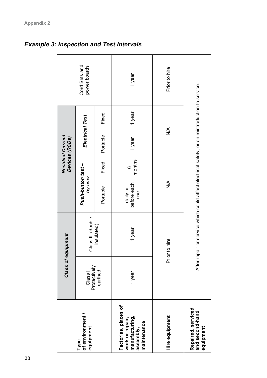|                                                                                       |                         | Class of equipment                                                                             |                                |             | <b>Residual Current</b><br>Devices (RCDs) |        |                               |  |
|---------------------------------------------------------------------------------------|-------------------------|------------------------------------------------------------------------------------------------|--------------------------------|-------------|-------------------------------------------|--------|-------------------------------|--|
| of environment<br>equipment<br>Type                                                   | Protectively<br>Class I | Class II (double                                                                               | Push-button test-<br>by user   |             | Electrical Test                           |        | Cord Sets and<br>power boards |  |
|                                                                                       | earthed                 | insulated)                                                                                     | Portable                       | Fixed       | Portable                                  | Fixed  |                               |  |
| Factories, places of<br>work or repair,<br>manufacturing,<br>maintenance<br>assembly, | 1 year                  | 1 year                                                                                         | before each<br>daily or<br>use | months<br>G | 1 year                                    | 1 year | 1 year                        |  |
| Hire equipment                                                                        |                         | Prior to hire                                                                                  | ⋚                              |             | ≸                                         |        | Prior to hire                 |  |
| Repaired, serviced<br>and second-hand<br>equipment                                    |                         | After repair or service which could affect electrical safety, or on reintroduction to service. |                                |             |                                           |        |                               |  |

*Example 3: Inspection and Test Intervals*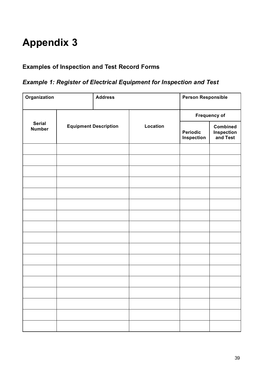## **Appendix 3**

#### **Examples of Inspection and Test Record Forms**

#### *Example 1: Register of Electrical Equipment for Inspection and Test*

| Organization            | <b>Address</b>               |          | <b>Person Responsible</b> |                                    |
|-------------------------|------------------------------|----------|---------------------------|------------------------------------|
|                         |                              |          |                           | Frequency of                       |
| Serial<br><b>Number</b> | <b>Equipment Description</b> | Location | Periodic<br>Inspection    | Combined<br>Inspection<br>and Test |
|                         |                              |          |                           |                                    |
|                         |                              |          |                           |                                    |
|                         |                              |          |                           |                                    |
|                         |                              |          |                           |                                    |
|                         |                              |          |                           |                                    |
|                         |                              |          |                           |                                    |
|                         |                              |          |                           |                                    |
|                         |                              |          |                           |                                    |
|                         |                              |          |                           |                                    |
|                         |                              |          |                           |                                    |
|                         |                              |          |                           |                                    |
|                         |                              |          |                           |                                    |
|                         |                              |          |                           |                                    |
|                         |                              |          |                           |                                    |
|                         |                              |          |                           |                                    |
|                         |                              |          |                           |                                    |
|                         |                              |          |                           |                                    |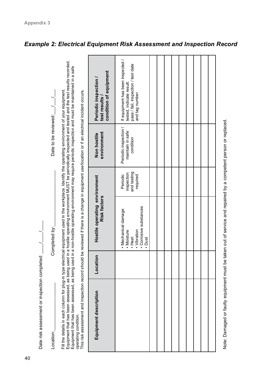| Date risk assessment or inspection completed:                                                                                                                                                                                                                                                                                                                                                                                                                                                                                                                                                                                                             |          |                                                                                                |                                                   |                                                        |                                                                                                                        |
|-----------------------------------------------------------------------------------------------------------------------------------------------------------------------------------------------------------------------------------------------------------------------------------------------------------------------------------------------------------------------------------------------------------------------------------------------------------------------------------------------------------------------------------------------------------------------------------------------------------------------------------------------------------|----------|------------------------------------------------------------------------------------------------|---------------------------------------------------|--------------------------------------------------------|------------------------------------------------------------------------------------------------------------------------|
| Location:                                                                                                                                                                                                                                                                                                                                                                                                                                                                                                                                                                                                                                                 |          | Completed by:                                                                                  |                                                   | Date to be reviewed: $1$                               |                                                                                                                        |
| Equipment that has been assessed, as being used in a hostile operating environment MUST be periodically inspected and tested and the test results recorded.<br>Equipment that has been assessed, as being used in a non-hostile operating environment may require periodic inspection and must be maintained in a safe<br>Fill the details in each column for plug-in type electrical equipment used in the workplace. Identify the operating environment of your equipment.<br>This risk assessment and inspection record should be reviewed if there is a change in equipment use/location or if an electrical incident occurs.<br>operating condition. |          |                                                                                                |                                                   |                                                        |                                                                                                                        |
| Equipment description                                                                                                                                                                                                                                                                                                                                                                                                                                                                                                                                                                                                                                     | Location | Hostile operating environment<br><b>Risk factors</b>                                           |                                                   | environment<br>Non hostile                             | condition of equipment<br>Periodic inspection<br>test results                                                          |
|                                                                                                                                                                                                                                                                                                                                                                                                                                                                                                                                                                                                                                                           |          | • Corrosive substances<br>· Mechanical damage<br>• Vibration<br>• Moisture<br>• Heat<br>· Dust | and testing<br>inspection<br>Periodic<br>required | Periodic inspection /<br>maintain in safe<br>condition | If equipment has been inspected /<br>pass / fail, inspection / test date<br>tested, indicate result:<br>and tag number |
|                                                                                                                                                                                                                                                                                                                                                                                                                                                                                                                                                                                                                                                           |          |                                                                                                |                                                   |                                                        |                                                                                                                        |
|                                                                                                                                                                                                                                                                                                                                                                                                                                                                                                                                                                                                                                                           |          |                                                                                                |                                                   |                                                        |                                                                                                                        |
|                                                                                                                                                                                                                                                                                                                                                                                                                                                                                                                                                                                                                                                           |          |                                                                                                |                                                   |                                                        |                                                                                                                        |
|                                                                                                                                                                                                                                                                                                                                                                                                                                                                                                                                                                                                                                                           |          |                                                                                                |                                                   |                                                        |                                                                                                                        |
|                                                                                                                                                                                                                                                                                                                                                                                                                                                                                                                                                                                                                                                           |          |                                                                                                |                                                   |                                                        |                                                                                                                        |
|                                                                                                                                                                                                                                                                                                                                                                                                                                                                                                                                                                                                                                                           |          |                                                                                                |                                                   |                                                        |                                                                                                                        |
|                                                                                                                                                                                                                                                                                                                                                                                                                                                                                                                                                                                                                                                           |          |                                                                                                |                                                   |                                                        |                                                                                                                        |
|                                                                                                                                                                                                                                                                                                                                                                                                                                                                                                                                                                                                                                                           |          |                                                                                                |                                                   |                                                        |                                                                                                                        |
| Note: Damaged or faulty equipment must be taken out of service and repaired by a competent person or replaced.                                                                                                                                                                                                                                                                                                                                                                                                                                                                                                                                            |          |                                                                                                |                                                   |                                                        |                                                                                                                        |

#### *Example 2: Electrical Equipment Risk Assessment and Inspection Record*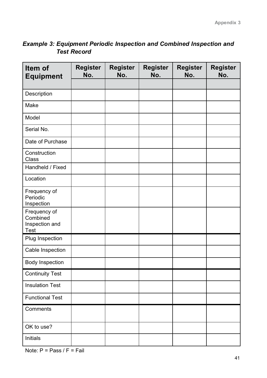| Example 3: Equipment Periodic Inspection and Combined Inspection and |  |
|----------------------------------------------------------------------|--|
| Test Record                                                          |  |

| Item of<br><b>Equipment</b>                        | <b>Register</b><br>No. | <b>Register</b><br>No. | <b>Register</b><br>No. | <b>Register</b><br>No. | <b>Register</b><br>No. |
|----------------------------------------------------|------------------------|------------------------|------------------------|------------------------|------------------------|
|                                                    |                        |                        |                        |                        |                        |
| Description                                        |                        |                        |                        |                        |                        |
| Make                                               |                        |                        |                        |                        |                        |
| Model                                              |                        |                        |                        |                        |                        |
| Serial No.                                         |                        |                        |                        |                        |                        |
| Date of Purchase                                   |                        |                        |                        |                        |                        |
| Construction<br>Class                              |                        |                        |                        |                        |                        |
| Handheld / Fixed                                   |                        |                        |                        |                        |                        |
| Location                                           |                        |                        |                        |                        |                        |
| Frequency of<br>Periodic<br>Inspection             |                        |                        |                        |                        |                        |
| Frequency of<br>Combined<br>Inspection and<br>Test |                        |                        |                        |                        |                        |
| Plug Inspection                                    |                        |                        |                        |                        |                        |
| Cable Inspection                                   |                        |                        |                        |                        |                        |
| Body Inspection                                    |                        |                        |                        |                        |                        |
| <b>Continuity Test</b>                             |                        |                        |                        |                        |                        |
| <b>Insulation Test</b>                             |                        |                        |                        |                        |                        |
| <b>Functional Test</b>                             |                        |                        |                        |                        |                        |
| Comments                                           |                        |                        |                        |                        |                        |
| OK to use?                                         |                        |                        |                        |                        |                        |
| Initials                                           |                        |                        |                        |                        |                        |

Note:  $P = P$ ass /  $F = F$ ail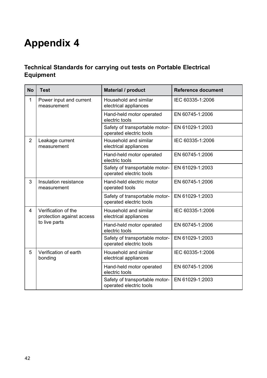## **Appendix 4**

#### **Technical Standards for carrying out tests on Portable Electrical Equipment**

| <b>No</b> | <b>Test</b>                                      | Material / product                                        | Reference document |
|-----------|--------------------------------------------------|-----------------------------------------------------------|--------------------|
| 1         | Power input and current<br>measurement           | Household and similar<br>electrical appliances            | IEC 60335-1:2006   |
|           |                                                  | Hand-held motor operated<br>electric tools                | EN 60745-1:2006    |
|           |                                                  | Safety of transportable motor-<br>operated electric tools | EN 61029-1:2003    |
| 2         | Leakage current<br>measurement                   | Household and similar<br>electrical appliances            | IEC 60335-1:2006   |
|           |                                                  | Hand-held motor operated<br>electric tools                | EN 60745-1:2006    |
|           |                                                  | Safety of transportable motor-<br>operated electric tools | EN 61029-1:2003    |
| 3         | Insulation resistance<br>measurement             | Hand-held electric motor<br>operated tools                | EN 60745-1:2006    |
|           |                                                  | Safety of transportable motor-<br>operated electric tools | EN 61029-1:2003    |
| 4         | Verification of the<br>protection against access | Household and similar<br>electrical appliances            | IEC 60335-1:2006   |
|           | to live parts                                    | Hand-held motor operated<br>electric tools                | EN 60745-1:2006    |
|           |                                                  | Safety of transportable motor-<br>operated electric tools | EN 61029-1:2003    |
| 5         | Verification of earth<br>bonding                 | Household and similar<br>electrical appliances            |                    |
|           |                                                  | Hand-held motor operated<br>electric tools                | EN 60745-1:2006    |
|           |                                                  | Safety of transportable motor-<br>operated electric tools | EN 61029-1:2003    |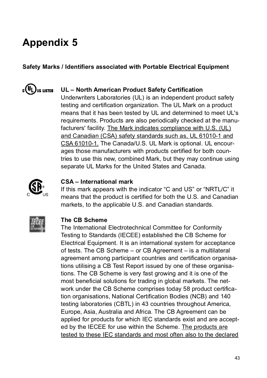### **Appendix 5**

#### **Safety Marks / Identifiers associated with Portable Electrical Equipment**



#### **UL – North American Product Safety Certification**

Underwriters Laboratories (UL) is an independent product safety testing and certification organization. The UL Mark on a product means that it has been tested by UL and determined to meet UL's requirements. Products are also periodically checked at the manu means that it has been tested by OL and determined to meet O<br>requirements. Products are also periodically checked at the ma<br>facturers' facility. <u>The Mark indicates compliance with U.S. (UL)</u> and Canadian (CSA) safety standards such as, UL 61010-1 and CSA 61010-1. The Canada/U.S. UL Mark is optional. UL encour ages those manufacturers with products certified for both coun tries to use this new, combined Mark, but they may continue using separate UL Marks for the United States and Canada.



#### **CSA – International mark**

If this mark appears with the indicator "C and US" or "NRTL/C" it means that the product is certified for both the U.S. and Canadian markets, to the applicable U.S. and Canadian standards.



#### **The CB Scheme**

The International Electrotechnical Committee for Conformity Testing to Standards (IECEE) established the CB Scheme for Electrical Equipment. It is an international system for acceptance of tests. The CB Scheme – or CB Agreement – is a multilateral agreement among participant countries and certification organisa tions utilising a CB Test Report issued by one of these organisa tions. The CB Scheme is very fast growing and it is one of the most beneficial solutions for trading in global markets. The net work under the CB Scheme comprises today 58 product certifica tion organisations, National Certification Bodies (NCB) and 140 testing laboratories (CBTL) in 43 countries throughout America, Europe, Asia, Australia and Africa. The CB Agreement can be applied for products for which IEC standards exist and are accept ed by the IECEE for use within the Scheme. The products are tested to these IEC standards and most often also to the declared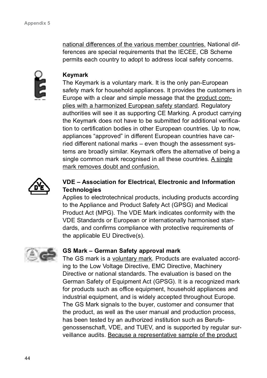national differences of the various member countries. National dif ferences are special requirements that the IECEE, CB Scheme permits each country to adopt to address local safety concerns.



#### **Keymark**

The Keymark is a voluntary mark. It is the only pan-European safety mark for household appliances. It provides the customers in Europe with a clear and simple message that the product complies with a harmonized European safety standard. Regulatory authorities will see it as supporting CE Marking. A product carrying the Keymark does not have to be submitted for additional verifica tion to certification bodies in other European countries. Up to now, appliances "approved" in different European countries have car ried different national marks – even though the assessment sys tems are broadly similar. Keymark offers the alternative of being a single common mark recognised in all these countries. A single mark removes doubt and confusion.



#### **VDE – Association for Electrical, Electronic and Information Technologies**

Applies to electrotechnical products, including products according to the Appliance and Product Safety Act (GPSG) and Medical Product Act (MPG). The VDE Mark indicates conformity with the VDE Standards or European or internationally harmonised stan dards, and confirms compliance with protective requirements of the applicable EU Directive(s).



#### **GS Mark – German Safety approval mark**

The GS mark is a voluntary mark. Products are evaluated according to the Low Voltage Directive, EMC Directive, Machinery Directive or national standards. The evaluation is based on the German Safety of Equipment Act (GPSG). It is a recognized mark for products such as office equipment, household appliances and industrial equipment, and is widely accepted throughout Europe. The GS Mark signals to the buyer, customer and consumer that the product, as well as the user manual and production process, has been tested by an authorized institution such as Berufs genossenschaft, VDE, and TUEV, and is supported by regular sur veillance audits. Because a representative sample of the product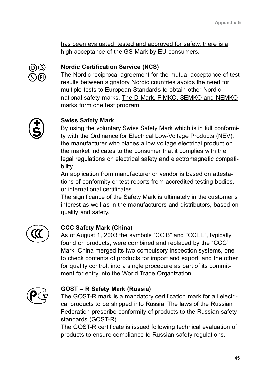has been evaluated, tested and approved for safety, there is a high acceptance of the GS Mark by EU consumers.



#### **Nordic Certification Service (NCS)**

The Nordic reciprocal agreement for the mutual acceptance of test results between signatory Nordic countries avoids the need for multiple tests to European Standards to obtain other Nordic national safety marks. The D-Mark, FIMKO, SEMKO and NEMKO marks form one test program.



#### **Swiss Safety Mark**

By using the voluntary Swiss Safety Mark which is in full conformi ty with the Ordinance for Electrical Low-Voltage Products (NEV), the manufacturer who places a low voltage electrical product on the market indicates to the consumer that it complies with the legal regulations on electrical safety and electromagnetic compati bility.

An application from manufacturer or vendor is based on attesta tions of conformity or test reports from accredited testing bodies, or international certificates.

The significance of the Safety Mark is ultimately in the customer's interest as well as in the manufacturers and distributors, based on quality and safety.



#### **CCC Safety Mark (China)**

As of August 1, 2003 the symbols "CCIB" and "CCEE", typically found on products, were combined and replaced by the "CCC" Mark. China merged its two compulsory inspection systems, one to check contents of products for import and export, and the other for quality control, into a single procedure as part of its commit ment for entry into the World Trade Organization.



#### **GOST – R Safety Mark (Russia)**

The GOST-R mark is a mandatory certification mark for all electri cal products to be shipped into Russia. The laws of the Russian Federation prescribe conformity of products to the Russian safety standards (GOST-R).<br>The GOST-R certificate is issued following technical evaluation of

products to ensure compliance to Russian safety regulations.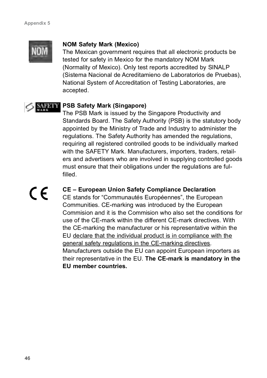

 $\epsilon$ 

#### **NOM Safety Mark (Mexico)**

The Mexican government requires that all electronic products be tested for safety in Mexico for the mandatory NOM Mark (Normality of Mexico). Only test reports accredited by SINALP (Sistema Nacional de Acreditamieno de Laboratorios de Pruebas), National System of Accreditation of Testing Laboratories, are accepted.

#### **RATHET PSB Safety Mark (Singapore)**

The PSB Mark is issued by the Singapore Productivity and Standards Board. The Safety Authority (PSB) is the statutory body appointed by the Ministry of Trade and Industry to administer the regulations. The Safety Authority has amended the regulations, requiring all registered controlled goods to be individually marked with the SAFETY Mark. Manufacturers, importers, traders, retail ers and advertisers who are involved in supplying controlled goods must ensure that their obligations under the regulations are ful filled.

#### **CE – European Union Safety Compliance Declaration**

CE stands for "Communautés Européennes", the European Communities. CE-marking was introduced by the European Commision and it is the Commision who also set the conditions for use of the CE-mark within the different CE-mark directives. With the CE-marking the manufacturer or his representative within the EU declare that the individual product is in compliance with the general safety regulations in the CE-marking directives. Manufacturers outside the EU can appoint European importers as their representative in the EU. **The CE-mark is mandatory in the EU member countries.**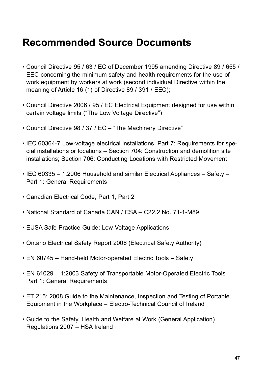### **Recommended Source Documents**

- Council Directive 95 / 63 / EC of December 1995 amending Directive 89 / 655 / EEC concerning the minimum safety and health requirements for the use of work equipment by workers at work (second individual Directive within the meaning of Article 16 (1) of Directive 89 / 391 / EEC);
- Council Directive 2006 / 95 / EC Electrical Equipment designed for use within certain voltage limits ("The Low Voltage Directive")
- Council Directive 98 / 37 / EC "The Machinery Directive"
- IEC 60364-7 Low-voltage electrical installations, Part 7: Requirements for spe cial installations or locations – Section 704: Construction and demolition site installations; Section 706: Conducting Locations with Restricted Movement
- IEC 60335 1:2006 Household and similar Electrical Appliances Safety Part 1: General Requirements
- Canadian Electrical Code, Part 1, Part 2
- National Standard of Canada CAN / CSA C22.2 No. 71-1-M89
- EUSA Safe Practice Guide: Low Voltage Applications
- Ontario Electrical Safety Report 2006 (Electrical Safety Authority)
- EN 60745 Hand-held Motor-operated Electric Tools Safety
- EN 61029 1:2003 Safety of Transportable Motor-Operated Electric Tools Part 1: General Requirements
- ET 215: 2008 Guide to the Maintenance, Inspection and Testing of Portable Equipment in the Workplace – Electro-Technical Council of Ireland
- Guide to the Safety, Health and Welfare at Work (General Application) Regulations 2007 – HSA Ireland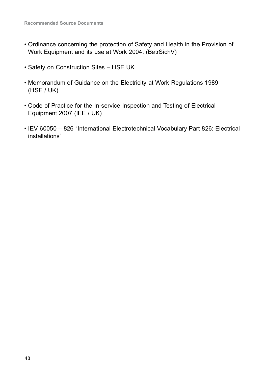- Ordinance concerning the protection of Safety and Health in the Provision of Work Equipment and its use at Work 2004. (BetrSichV)
- Safety on Construction Sites HSE UK
- Memorandum of Guidance on the Electricity at Work Regulations 1989 (HSE / UK)
- Code of Practice for the In-service Inspection and Testing of Electrical Equipment 2007 (IEE / UK)
- IEV 60050 826 "International Electrotechnical Vocabulary Part 826: Electrical installations"